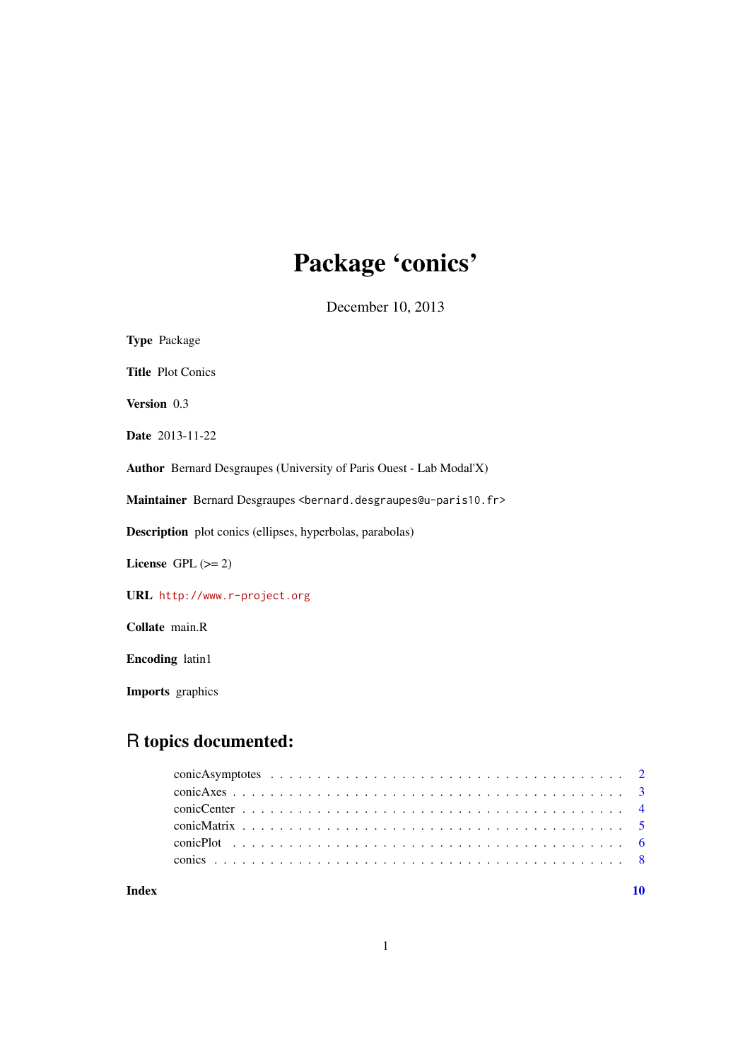# Package 'conics'

December 10, 2013

<span id="page-0-0"></span>

| <b>Type Package</b>                                                                               |
|---------------------------------------------------------------------------------------------------|
| <b>Title Plot Conics</b>                                                                          |
| Version 0.3                                                                                       |
| <b>Date</b> 2013-11-22                                                                            |
| <b>Author</b> Bernard Desgraupes (University of Paris Ouest - Lab Modal'X)                        |
| Maintainer Bernard Desgraupes <bernard.desgraupes@u-paris10.fr></bernard.desgraupes@u-paris10.fr> |
| <b>Description</b> plot conics (ellipses, hyperbolas, parabolas)                                  |
| License $GPL (= 2)$                                                                               |
| URL http://www.r-project.org                                                                      |
| Collate main.R                                                                                    |
| <b>Encoding</b> latin1                                                                            |

Imports graphics

# R topics documented:

 $\blacksquare$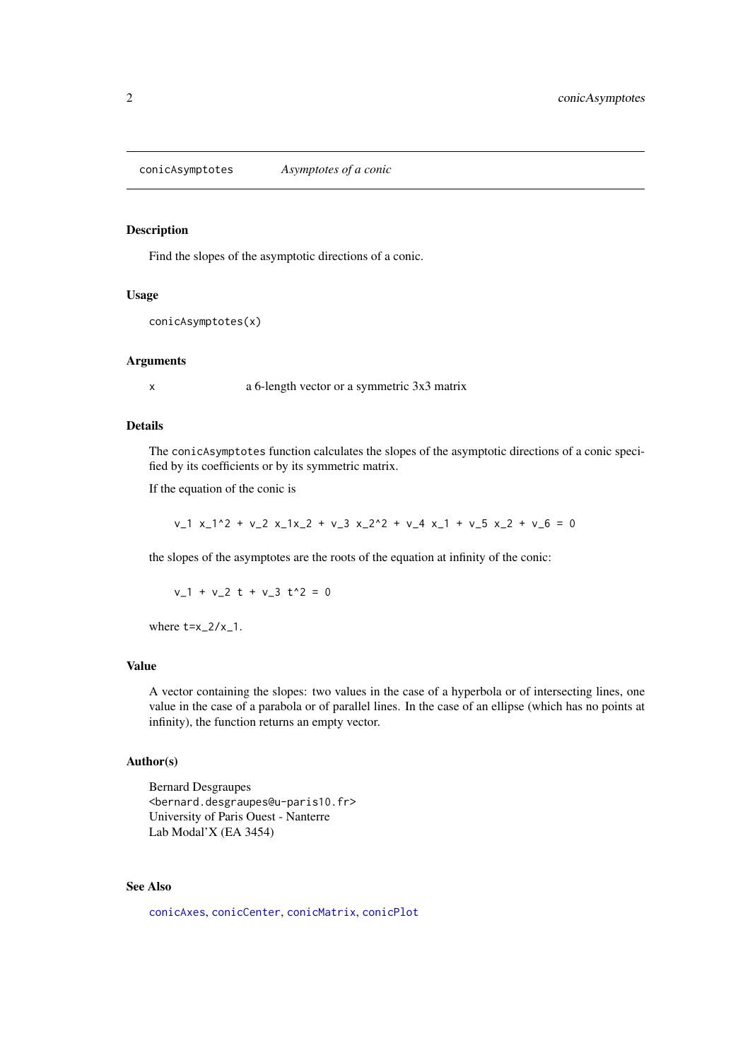<span id="page-1-1"></span><span id="page-1-0"></span>conicAsymptotes *Asymptotes of a conic*

#### Description

Find the slopes of the asymptotic directions of a conic.

# Usage

```
conicAsymptotes(x)
```
#### Arguments

x a 6-length vector or a symmetric 3x3 matrix

# Details

The conicAsymptotes function calculates the slopes of the asymptotic directions of a conic specified by its coefficients or by its symmetric matrix.

If the equation of the conic is

 $v_1$  x\_1^2 + v\_2 x\_1x\_2 + v\_3 x\_2^2 + v\_4 x\_1 + v\_5 x\_2 + v\_6 = 0

the slopes of the asymptotes are the roots of the equation at infinity of the conic:

 $v_1 + v_2$  t +  $v_3$  t<sup>2</sup> = 0

where  $t=x_2/x_1$ .

#### Value

A vector containing the slopes: two values in the case of a hyperbola or of intersecting lines, one value in the case of a parabola or of parallel lines. In the case of an ellipse (which has no points at infinity), the function returns an empty vector.

#### Author(s)

Bernard Desgraupes <bernard.desgraupes@u-paris10.fr> University of Paris Ouest - Nanterre Lab Modal'X (EA 3454)

# See Also

[conicAxes](#page-2-1), [conicCenter](#page-3-1), [conicMatrix](#page-4-1), [conicPlot](#page-5-1)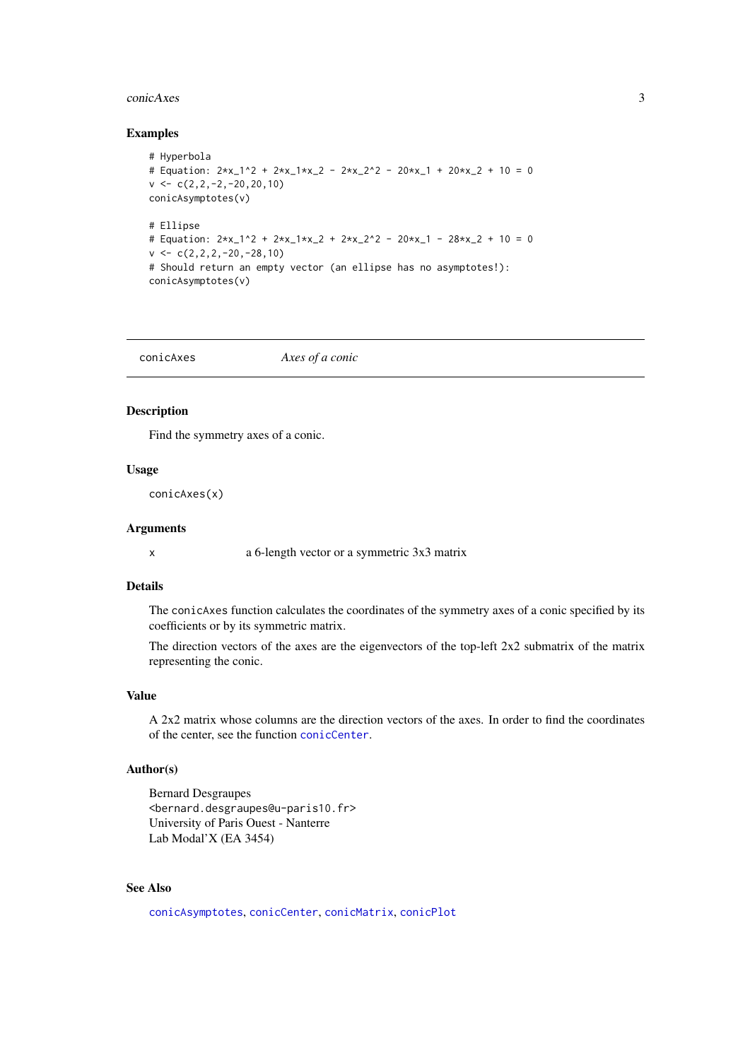#### <span id="page-2-0"></span>conicAxes 3

#### Examples

```
# Hyperbola
# Equation: 2*x_1^2 + 2*x_1*x_2 - 2*x_2^2 - 20*x_1 + 20*x_2 + 10 = 0
v \leftarrow c(2, 2, -2, -20, 20, 10)conicAsymptotes(v)
# Ellipse
# Equation: 2*x_1^2 + 2*x_1*x_2 + 2*x_2^2 - 20*x_1 - 28*x_2 + 10 = 0
v \leftarrow c(2, 2, 2, -20, -28, 10)# Should return an empty vector (an ellipse has no asymptotes!):
conicAsymptotes(v)
```
<span id="page-2-1"></span>conicAxes *Axes of a conic*

# Description

Find the symmetry axes of a conic.

#### Usage

conicAxes(x)

#### Arguments

x a 6-length vector or a symmetric 3x3 matrix

#### Details

The conicAxes function calculates the coordinates of the symmetry axes of a conic specified by its coefficients or by its symmetric matrix.

The direction vectors of the axes are the eigenvectors of the top-left 2x2 submatrix of the matrix representing the conic.

#### Value

A 2x2 matrix whose columns are the direction vectors of the axes. In order to find the coordinates of the center, see the function [conicCenter](#page-3-1).

#### Author(s)

```
Bernard Desgraupes
<bernard.desgraupes@u-paris10.fr>
University of Paris Ouest - Nanterre
Lab Modal'X (EA 3454)
```
# See Also

[conicAsymptotes](#page-1-1), [conicCenter](#page-3-1), [conicMatrix](#page-4-1), [conicPlot](#page-5-1)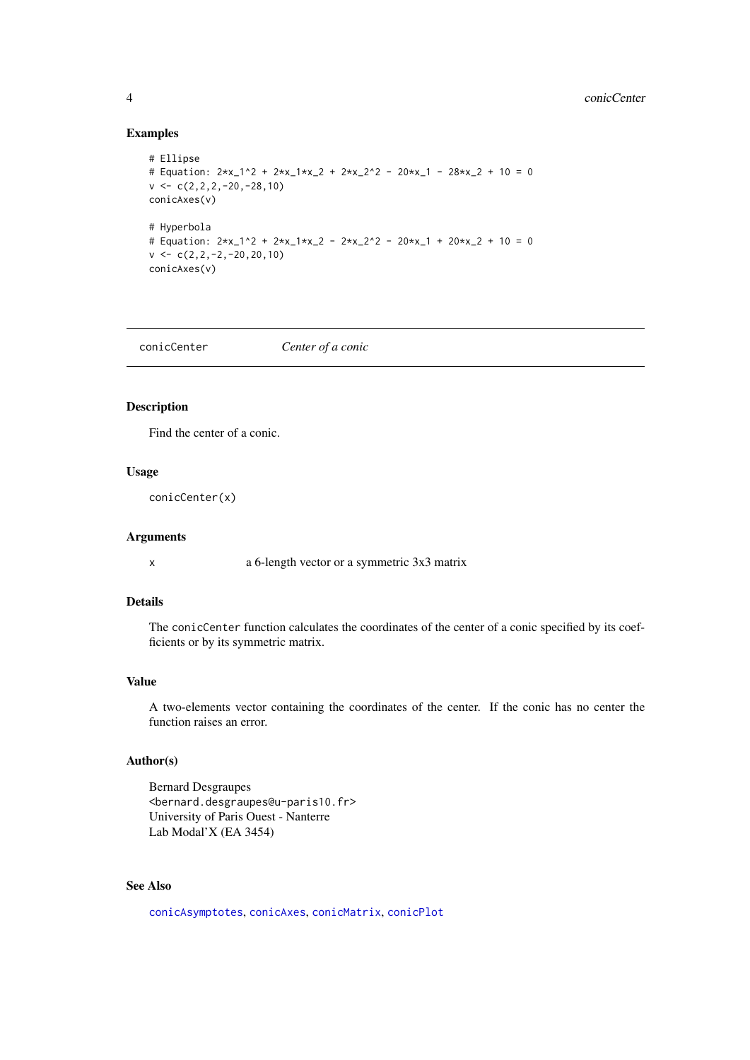# Examples

```
# Ellipse
# Equation: 2*x_1^2 + 2*x_1*x_2 + 2*x_2^2 - 20*x_1 - 28*x_2 + 10 = 0
v \leftarrow c(2, 2, 2, -20, -28, 10)conicAxes(v)
# Hyperbola
# Equation: 2*x_1^2 + 2*x_1*x_2 - 2*x_2^2 - 20*x_1 + 20*x_2 + 10 = 0v \leftarrow c(2, 2, -2, -20, 20, 10)conicAxes(v)
```
<span id="page-3-1"></span>conicCenter *Center of a conic*

# Description

Find the center of a conic.

#### Usage

conicCenter(x)

#### Arguments

x a 6-length vector or a symmetric 3x3 matrix

# Details

The conicCenter function calculates the coordinates of the center of a conic specified by its coefficients or by its symmetric matrix.

#### Value

A two-elements vector containing the coordinates of the center. If the conic has no center the function raises an error.

# Author(s)

Bernard Desgraupes <bernard.desgraupes@u-paris10.fr> University of Paris Ouest - Nanterre Lab Modal'X (EA 3454)

#### See Also

[conicAsymptotes](#page-1-1), [conicAxes](#page-2-1), [conicMatrix](#page-4-1), [conicPlot](#page-5-1)

<span id="page-3-0"></span>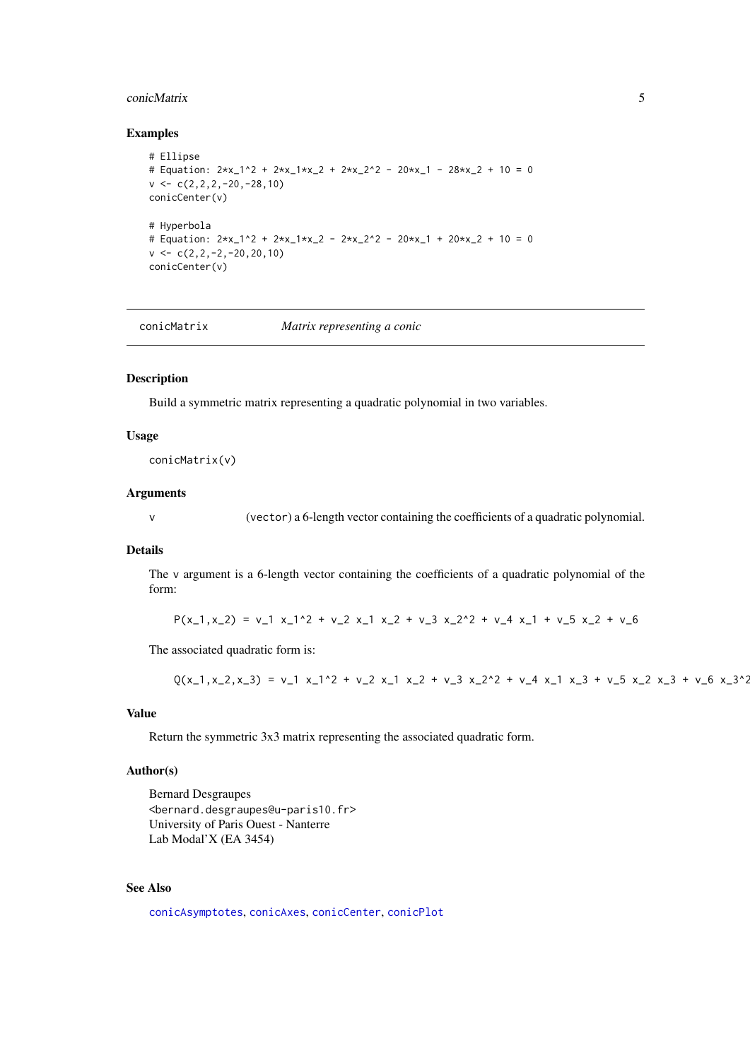#### <span id="page-4-0"></span>conicMatrix 5

#### Examples

```
# Ellipse
# Equation: 2*x_1^2 + 2*x_1*x_2 + 2*x_2^2 - 20*x_1 - 28*x_2 + 10 = 0
v \leftarrow c(2, 2, 2, -20, -28, 10)conicCenter(v)
# Hyperbola
# Equation: 2*x_1^2 + 2*x_1*x_2 - 2*x_2^2 - 20*x_1 + 20*x_2 + 10 = 0
v \leftarrow c(2, 2, -2, -20, 20, 10)conicCenter(v)
```
<span id="page-4-1"></span>conicMatrix *Matrix representing a conic*

#### Description

Build a symmetric matrix representing a quadratic polynomial in two variables.

#### Usage

conicMatrix(v)

#### Arguments

v (vector) a 6-length vector containing the coefficients of a quadratic polynomial.

#### Details

The v argument is a 6-length vector containing the coefficients of a quadratic polynomial of the form:

 $P(x_1, x_2) = v_1 x_1^2 + v_2 x_1^2 + v_3^2 + v_4^2 x_2^2 + v_4^2 x_1^2 + v_5^2 x_2^2 + v_6^2$ 

The associated quadratic form is:

```
Q(x_1, x_2, x_3) = v_1 x_1^2 + v_2 x_1 x_2 + v_3 x_2^2 + v_4 x_1 x_2 + v_5 x_2 x_2 + v_6 x_3^2
```
# Value

Return the symmetric 3x3 matrix representing the associated quadratic form.

# Author(s)

Bernard Desgraupes <bernard.desgraupes@u-paris10.fr> University of Paris Ouest - Nanterre Lab Modal'X (EA 3454)

# See Also

[conicAsymptotes](#page-1-1), [conicAxes](#page-2-1), [conicCenter](#page-3-1), [conicPlot](#page-5-1)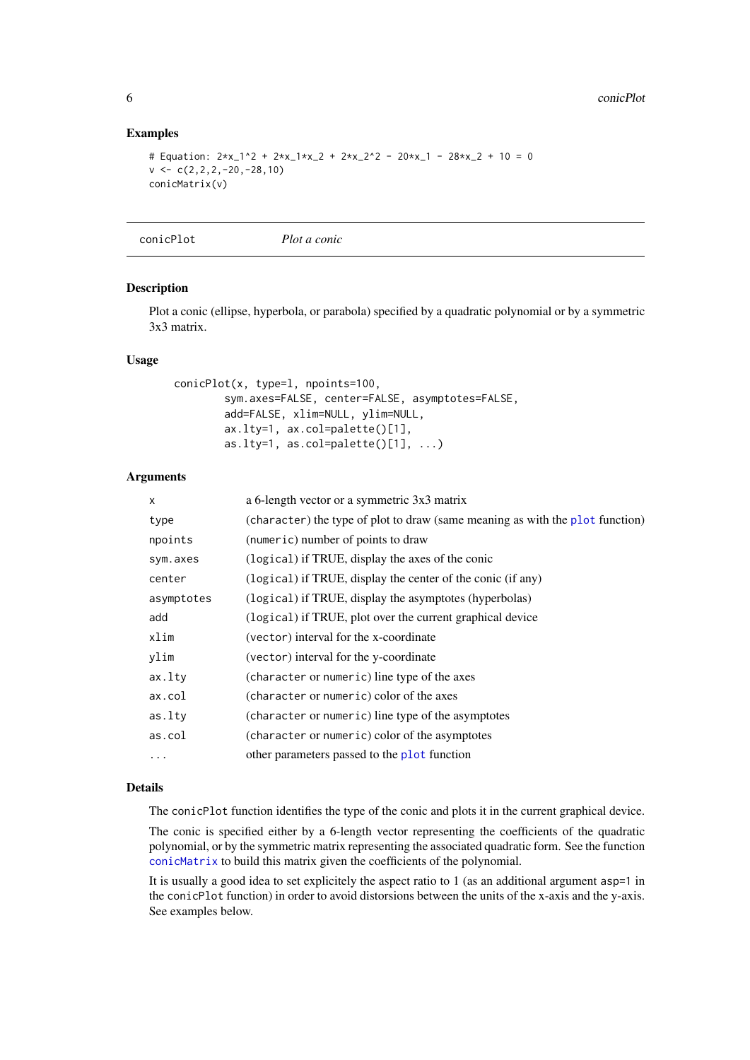# Examples

```
# Equation: 2*x_1^2 + 2*x_1*x_2 + 2*x_2^2 - 20*x_1 - 28*x_2 + 10 = 0v \leftarrow c(2, 2, 2, -20, -28, 10)conicMatrix(v)
```
<span id="page-5-1"></span>conicPlot *Plot a conic*

#### Description

Plot a conic (ellipse, hyperbola, or parabola) specified by a quadratic polynomial or by a symmetric 3x3 matrix.

#### Usage

```
conicPlot(x, type=l, npoints=100,
        sym.axes=FALSE, center=FALSE, asymptotes=FALSE,
        add=FALSE, xlim=NULL, ylim=NULL,
        ax.lty=1, ax.col=palette()[1],
        as.lty=1, as.col=palette()[1], \ldots)
```
# Arguments

| X          | a 6-length vector or a symmetric 3x3 matrix                                   |
|------------|-------------------------------------------------------------------------------|
| type       | (character) the type of plot to draw (same meaning as with the plot function) |
| npoints    | (numeric) number of points to draw                                            |
| sym.axes   | (logical) if TRUE, display the axes of the conic                              |
| center     | (logical) if TRUE, display the center of the conic (if any)                   |
| asymptotes | (logical) if TRUE, display the asymptotes (hyperbolas)                        |
| add        | (logical) if TRUE, plot over the current graphical device                     |
| xlim       | (vector) interval for the x-coordinate                                        |
| ylim       | (vector) interval for the y-coordinate                                        |
| ax.lty     | (character or numeric) line type of the axes                                  |
| ax.col     | (character or numeric) color of the axes                                      |
| as.lty     | (character or numeric) line type of the asymptotes                            |
| as.col     | (character or numeric) color of the asymptotes                                |
| $\cdots$   | other parameters passed to the plot function                                  |

#### Details

The conicPlot function identifies the type of the conic and plots it in the current graphical device.

The conic is specified either by a 6-length vector representing the coefficients of the quadratic polynomial, or by the symmetric matrix representing the associated quadratic form. See the function [conicMatrix](#page-4-1) to build this matrix given the coefficients of the polynomial.

It is usually a good idea to set explicitely the aspect ratio to 1 (as an additional argument asp=1 in the conicPlot function) in order to avoid distorsions between the units of the x-axis and the y-axis. See examples below.

<span id="page-5-0"></span>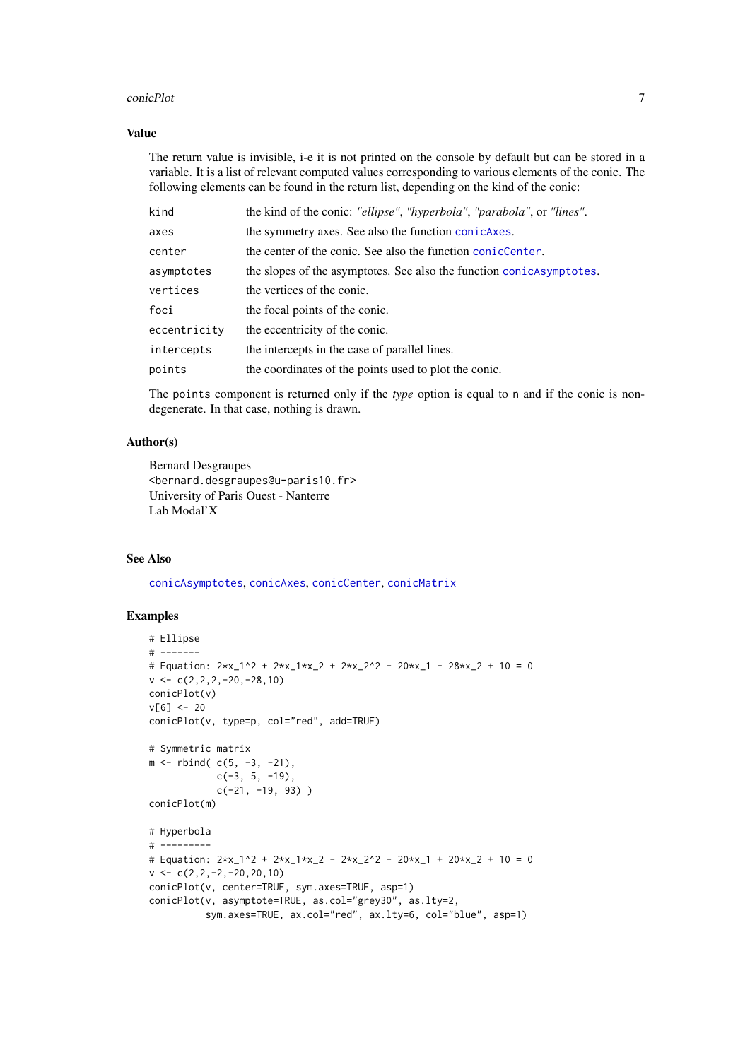#### <span id="page-6-0"></span>conicPlot 7

#### Value

The return value is invisible, i-e it is not printed on the console by default but can be stored in a variable. It is a list of relevant computed values corresponding to various elements of the conic. The following elements can be found in the return list, depending on the kind of the conic:

| kind         | the kind of the conic: "ellipse", "hyperbola", "parabola", or "lines". |
|--------------|------------------------------------------------------------------------|
| axes         | the symmetry axes. See also the function conjcates.                    |
| center       | the center of the conic. See also the function conicCenter.            |
| asymptotes   | the slopes of the asymptotes. See also the function conicAsymptotes.   |
| vertices     | the vertices of the conic.                                             |
| foci         | the focal points of the conic.                                         |
| eccentricity | the eccentricity of the conic.                                         |
| intercepts   | the intercepts in the case of parallel lines.                          |
| points       | the coordinates of the points used to plot the conic.                  |

The points component is returned only if the *type* option is equal to n and if the conic is nondegenerate. In that case, nothing is drawn.

#### Author(s)

Bernard Desgraupes <bernard.desgraupes@u-paris10.fr> University of Paris Ouest - Nanterre Lab Modal'X

# See Also

[conicAsymptotes](#page-1-1), [conicAxes](#page-2-1), [conicCenter](#page-3-1), [conicMatrix](#page-4-1)

# Examples

```
# Ellipse
# -------
# Equation: 2*x_1^2 + 2*x_1*x_2 + 2*x_2^2 - 20*x_1 - 28*x_2 + 10 = 0
v \leftarrow c(2, 2, 2, -20, -28, 10)conicPlot(v)
v[6] < -20conicPlot(v, type=p, col="red", add=TRUE)
# Symmetric matrix
m <- rbind( c(5, -3, -21),
            c(-3, 5, -19),
            c(-21, -19, 93))
conicPlot(m)
# Hyperbola
# ---------
# Equation: 2*x_1^2 + 2*x_1*x_2 - 2*x_2^2 - 20*x_1 + 20*x_2 + 10 = 0
v \leftarrow c(2, 2, -2, -20, 20, 10)conicPlot(v, center=TRUE, sym.axes=TRUE, asp=1)
conicPlot(v, asymptote=TRUE, as.col="grey30", as.lty=2,
          sym.axes=TRUE, ax.col="red", ax.lty=6, col="blue", asp=1)
```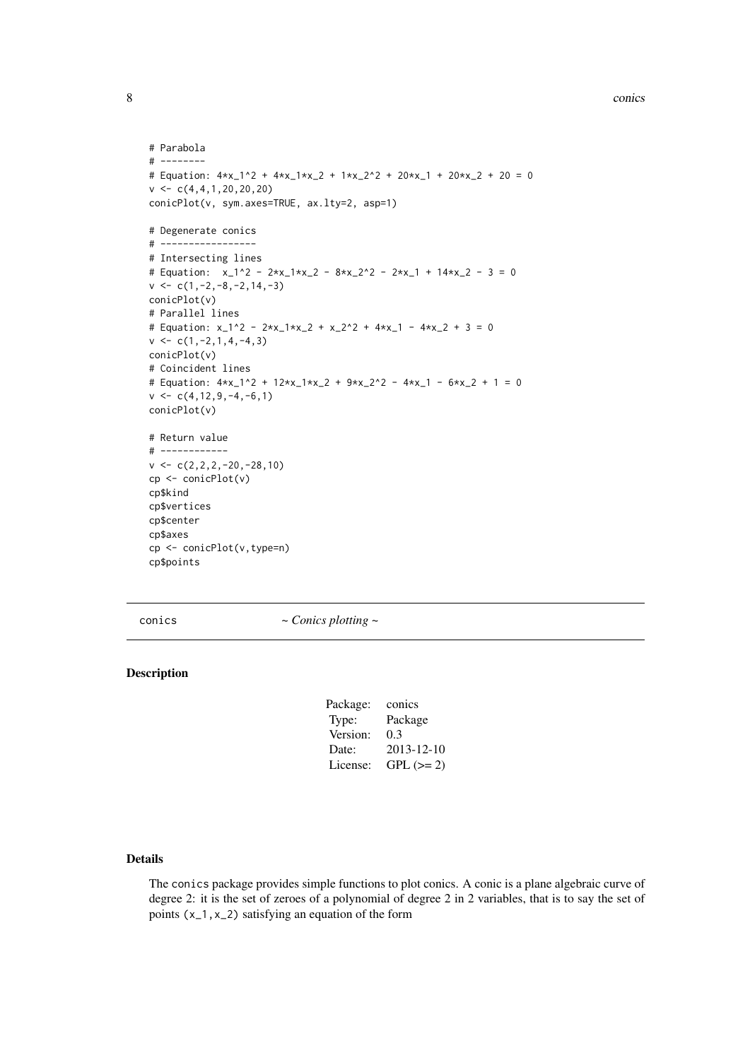#### 8 conics and the contract of the contract of the conics of the conics of the conics of the conics of the conics

```
# Parabola
# --------
# Equation: 4*x_1^2 + 4*x_1*x_2 + 1*x_2^2 + 20*x_1 + 20*x_2 + 20 = 0
v \leq C(4, 4, 1, 20, 20, 20)conicPlot(v, sym.axes=TRUE, ax.lty=2, asp=1)
# Degenerate conics
# -----------------
# Intersecting lines
# Equation: x_1^2 - 2*x_1*x_2 - 8*x_2^2 - 2*x_1 + 14*x_2 - 3 = 0v \leftarrow c(1, -2, -8, -2, 14, -3)conicPlot(v)
# Parallel lines
# Equation: x_1^2 - 2*x_1*x_2 + x_2^2 + 4*x_1 - 4*x_2 + 3 = 0
v \leftarrow c(1, -2, 1, 4, -4, 3)conicPlot(v)
# Coincident lines
# Equation: 4*x_1^2 + 12*x_1*x_2 + 9*x_2^2 - 4*x_1 - 6*x_2 + 1 = 0
v \leftarrow c(4, 12, 9, -4, -6, 1)conicPlot(v)
# Return value
# ------------
v \leftarrow c(2, 2, 2, -20, -28, 10)cp <- conicPlot(v)
cp$kind
cp$vertices
cp$center
cp$axes
cp <- conicPlot(v,type=n)
cp$points
```
conics *~ Conics plotting ~*

# Description

| Package: | conics     |
|----------|------------|
| Type:    | Package    |
| Version: | 0.3        |
| Date:    | 2013-12-10 |
| License: | $GPL (=2)$ |
|          |            |

#### Details

The conics package provides simple functions to plot conics. A conic is a plane algebraic curve of degree 2: it is the set of zeroes of a polynomial of degree 2 in 2 variables, that is to say the set of points  $(x_1, x_2)$  satisfying an equation of the form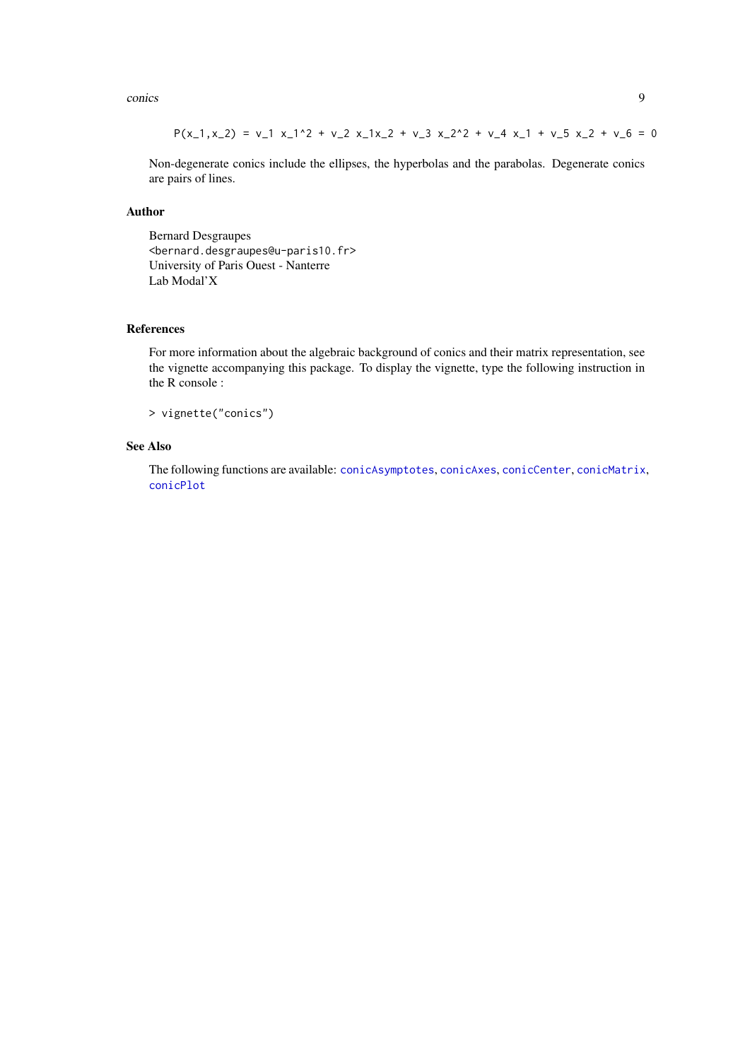<span id="page-8-0"></span>conics and the contract of the contract of the contract of the contract of the contract of the contract of the contract of the contract of the contract of the contract of the contract of the contract of the contract of the

$$
P(x_1, x_2) = v_1 x_1^2 + v_2 x_1 x_2 + v_3 x_2^2 + v_4 x_1 + v_5 x_2 + v_6 = 0
$$

Non-degenerate conics include the ellipses, the hyperbolas and the parabolas. Degenerate conics are pairs of lines.

#### Author

Bernard Desgraupes <bernard.desgraupes@u-paris10.fr> University of Paris Ouest - Nanterre Lab Modal'X

#### References

For more information about the algebraic background of conics and their matrix representation, see the vignette accompanying this package. To display the vignette, type the following instruction in the R console :

> vignette("conics")

# See Also

The following functions are available: [conicAsymptotes](#page-1-1), [conicAxes](#page-2-1), [conicCenter](#page-3-1), [conicMatrix](#page-4-1), [conicPlot](#page-5-1)